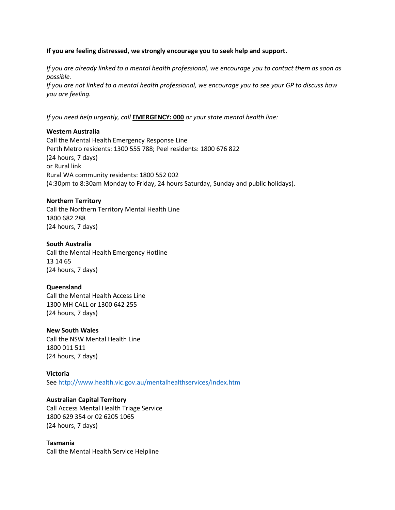## **If you are feeling distressed, we strongly encourage you to seek help and support.**

*If you are already linked to a mental health professional, we encourage you to contact them as soon as possible.* 

*If you are not linked to a mental health professional, we encourage you to see your GP to discuss how you are feeling.* 

*If you need help urgently, call* **EMERGENCY: 000** *or your state mental health line:* 

## **Western Australia**

Call the Mental Health Emergency Response Line Perth Metro residents: 1300 555 788; Peel residents: 1800 676 822 (24 hours, 7 days) or Rural link Rural WA community residents: 1800 552 002 (4:30pm to 8:30am Monday to Friday, 24 hours Saturday, Sunday and public holidays).

## **Northern Territory**

Call the Northern Territory Mental Health Line 1800 682 288 (24 hours, 7 days)

## **South Australia**

Call the Mental Health Emergency Hotline 13 14 65 (24 hours, 7 days)

### **Queensland**

Call the Mental Health Access Line 1300 MH CALL or 1300 642 255 (24 hours, 7 days)

### **New South Wales**

Call the NSW Mental Health Line 1800 011 511 (24 hours, 7 days)

## **Victoria**

See http://www.health.vic.gov.au/mentalhealthservices/index.htm

### **Australian Capital Territory**

Call Access Mental Health Triage Service 1800 629 354 or 02 6205 1065 (24 hours, 7 days)

### **Tasmania**

Call the Mental Health Service Helpline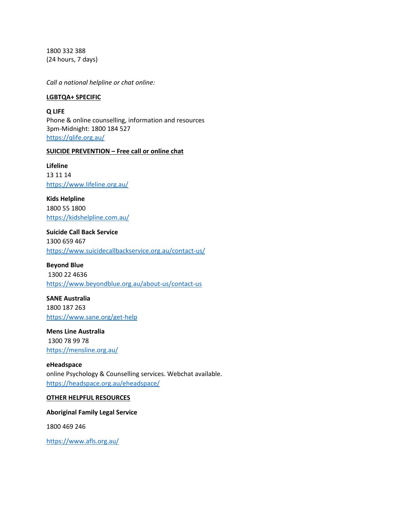1800 332 388 (24 hours, 7 days)

*Call a national helpline or chat online:*

### **LGBTQA+ SPECIFIC**

**Q LIFE** Phone & online counselling, information and resources 3pm-Midnight: 1800 184 527 <https://qlife.org.au/>

### **SUICIDE PREVENTION – Free call or online chat**

**Lifeline**  13 11 14 <https://www.lifeline.org.au/>

**Kids Helpline** 1800 55 1800 <https://kidshelpline.com.au/>

**Suicide Call Back Service** 1300 659 467 <https://www.suicidecallbackservice.org.au/contact-us/>

**Beyond Blue** 1300 22 4636 <https://www.beyondblue.org.au/about-us/contact-us>

**SANE Australia** 1800 187 263 <https://www.sane.org/get-help>

**Mens Line Australia** 1300 78 99 78 <https://mensline.org.au/>

**eHeadspace** online Psychology & Counselling services. Webchat available. <https://headspace.org.au/eheadspace/>

### **OTHER HELPFUL RESOURCES**

**Aboriginal Family Legal Service**

1800 469 246

<https://www.afls.org.au/>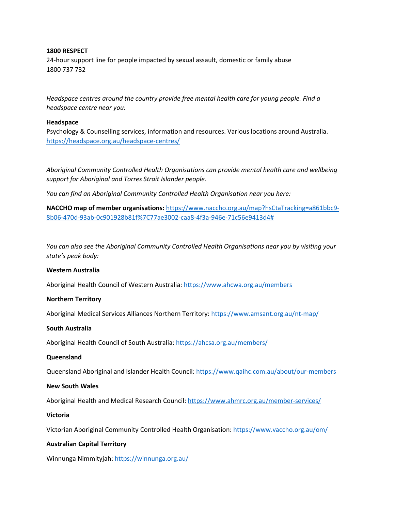## **1800 RESPECT**

24-hour support line for people impacted by sexual assault, domestic or family abuse 1800 737 732

*Headspace centres around the country provide free mental health care for young people. Find a headspace centre near you:*

## **Headspace**

Psychology & Counselling services, information and resources. Various locations around Australia. <https://headspace.org.au/headspace-centres/>

*Aboriginal Community Controlled Health Organisations can provide mental health care and wellbeing support for Aboriginal and Torres Strait Islander people.* 

*You can find an Aboriginal Community Controlled Health Organisation near you here:*

**NACCHO map of member organisations:** [https://www.naccho.org.au/map?hsCtaTracking=a861bbc9-](https://www.naccho.org.au/map?hsCtaTracking=a861bbc9-8b06-470d-93ab-0c901928b81f%7C77ae3002-caa8-4f3a-946e-71c56e9413d4) [8b06-470d-93ab-0c901928b81f%7C77ae3002-caa8-4f3a-946e-71c56e9413d4#](https://www.naccho.org.au/map?hsCtaTracking=a861bbc9-8b06-470d-93ab-0c901928b81f%7C77ae3002-caa8-4f3a-946e-71c56e9413d4)

*You can also see the Aboriginal Community Controlled Health Organisations near you by visiting your state's peak body:*

### **Western Australia**

Aboriginal Health Council of Western Australia:<https://www.ahcwa.org.au/members>

### **Northern Territory**

Aboriginal Medical Services Alliances Northern Territory[: https://www.amsant.org.au/nt-map/](https://www.amsant.org.au/nt-map/)

### **South Australia**

Aboriginal Health Council of South Australia: <https://ahcsa.org.au/members/>

### **Queensland**

Queensland Aboriginal and Islander Health Council: <https://www.qaihc.com.au/about/our-members>

### **New South Wales**

Aboriginal Health and Medical Research Council: <https://www.ahmrc.org.au/member-services/>

### **Victoria**

Victorian Aboriginal Community Controlled Health Organisation: <https://www.vaccho.org.au/om/>

## **Australian Capital Territory**

Winnunga Nimmityjah: <https://winnunga.org.au/>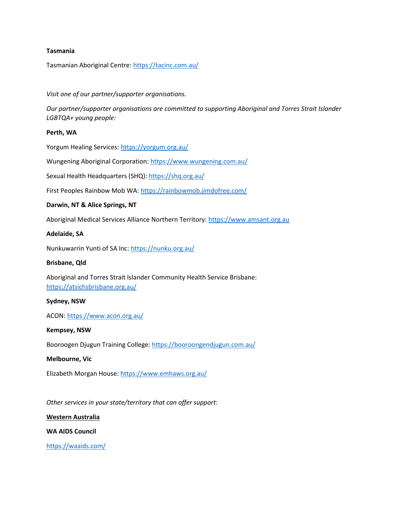## **Tasmania**

Tasmanian Aboriginal Centre[: https://tacinc.com.au/](https://tacinc.com.au/)

## *Visit one of our partner/supporter organisations.*

*Our partner/supporter organisations are committed to supporting Aboriginal and Torres Strait Islander LGBTQA+ young people:*

### **Perth, WA**

Yorgum Healing Services:<https://yorgum.org.au/>

Wungening Aboriginal Corporation:<https://www.wungening.com.au/>

Sexual Health Headquarters (SHQ)[: https://shq.org.au/](https://shq.org.au/)

First Peoples Rainbow Mob WA:<https://rainbowmob.jimdofree.com/>

## **Darwin, NT & Alice Springs, NT**

Aboriginal Medical Services Alliance Northern Territory: [https://www.amsant.org.au](https://www.amsant.org.au/)

### **Adelaide, SA**

Nunkuwarrin Yunti of SA Inc:<https://nunku.org.au/>

### **Brisbane, Qld**

Aboriginal and Torres Strait Islander Community Health Service Brisbane: <https://atsichsbrisbane.org.au/>

### **Sydney, NSW**

ACON:<https://www.acon.org.au/>

### **Kempsey, NSW**

Booroogen Djugun Training College:<https://booroongendjugun.com.au/>

### **Melbourne, Vic**

Elizabeth Morgan House[: https://www.emhaws.org.au/](https://www.emhaws.org.au/)

*Other services in your state/territory that can offer support:*

### **Western Australia**

**WA AIDS Council**

<https://waaids.com/>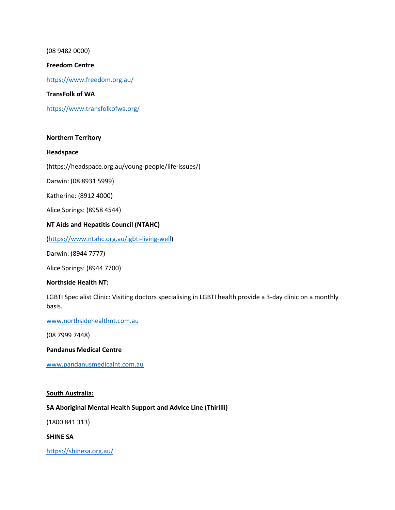(08 9482 0000)

## **Freedom Centre**

<https://www.freedom.org.au/>

**TransFolk of WA**

<https://www.transfolkofwa.org/>

## **Northern Territory**

### **Headspace**

(https://headspace.org.au/young-people/life-issues/)

Darwin: (08 8931 5999)

Katherine: (8912 4000)

Alice Springs: (8958 4544)

# **NT Aids and Hepatitis Council (NTAHC)**

[\(https://www.ntahc.org.au/lgbti-living-well\)](https://www.ntahc.org.au/lgbti-living-well)

Darwin: (8944 7777)

Alice Springs: (8944 7700)

### **Northside Health NT:**

LGBTI Specialist Clinic: Visiting doctors specialising in LGBTI health provide a 3-day clinic on a monthly basis.

[www.northsidehealthnt.com.au](http://www.northsidehealthnt.com.au/)

(08 7999 7448)

### **Pandanus Medical Centre**

[www.pandanusmedicalnt.com.au](http://www.pandanusmedicalnt.com.au/)

### **South Australia:**

## **SA Aboriginal Mental Health Support and Advice Line (Thirilli)**

(1800 841 313)

**SHINE SA**

<https://shinesa.org.au/>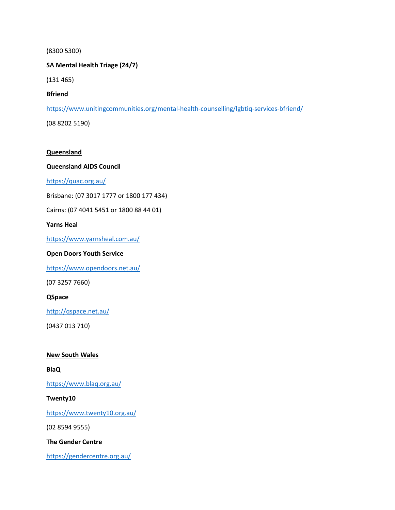## (8300 5300)

# **SA Mental Health Triage (24/7)**

(131 465)

# **Bfriend**

[https://www.unitingcommunities.org/mental-health-counselling/lgbtiq-services-bfriend/](https://www.unitingcommunities.org/mental-health-counselling/lgbtiq-services-bfriend/?fbclid=IwAR0srvx43Ci0io1LWNg7gcgY2OusqpGwP03_6wlZlm5_gSpooszzirjxcLk)

(08 8202 5190)

# **Queensland**

# **Queensland AIDS Council**

<https://quac.org.au/>

Brisbane: (07 3017 1777 or 1800 177 434)

Cairns: (07 4041 5451 or 1800 88 44 01)

# **Yarns Heal**

<https://www.yarnsheal.com.au/>

# **Open Doors Youth Service**

<https://www.opendoors.net.au/>

(07 3257 7660)

## **QSpace**

<http://qspace.net.au/>

(0437 013 710)

## **New South Wales**

**BlaQ**

<https://www.blaq.org.au/>

## **Twenty10**

<https://www.twenty10.org.au/>

(02 8594 9555)

**The Gender Centre** 

<https://gendercentre.org.au/>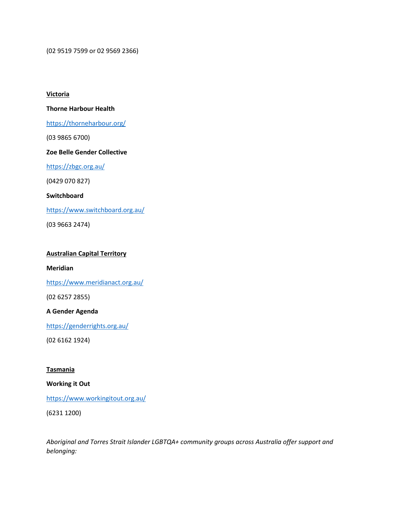(02 9519 7599 or 02 9569 2366)

### **Victoria**

## **Thorne Harbour Health**

## <https://thorneharbour.org/>

(03 9865 6700)

## **Zoe Belle Gender Collective**

<https://zbgc.org.au/>

(0429 070 827)

## **Switchboard**

<https://www.switchboard.org.au/>

(03 9663 2474)

## **Australian Capital Territory**

### **Meridian**

<https://www.meridianact.org.au/>

(02 6257 2855)

## **A Gender Agenda**

<https://genderrights.org.au/>

(02 6162 1924)

## **Tasmania**

# **Working it Out**

## <https://www.workingitout.org.au/>

(6231 1200)

*Aboriginal and Torres Strait Islander LGBTQA+ community groups across Australia offer support and belonging:*